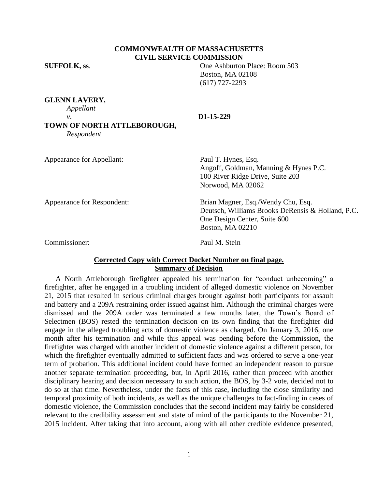## **COMMONWEALTH OF MASSACHUSETTS CIVIL SERVICE COMMISSION**

**SUFFOLK, ss**. One Ashburton Place: Room 503 Boston, MA 02108 (617) 727-2293

**GLENN LAVERY,**

*Appellant*

#### *v*. **D1-15-229**

**TOWN OF NORTH ATTLEBOROUGH,** *Respondent*

| Appearance for Appellant:  | Paul T. Hynes, Esq.<br>Angoff, Goldman, Manning & Hynes P.C.<br>100 River Ridge Drive, Suite 203<br>Norwood, MA 02062                              |
|----------------------------|----------------------------------------------------------------------------------------------------------------------------------------------------|
| Appearance for Respondent: | Brian Magner, Esq./Wendy Chu, Esq.<br>Deutsch, Williams Brooks DeRensis & Holland, P.C.<br>One Design Center, Suite 600<br><b>Boston, MA 02210</b> |
| Commissioner:              | Paul M. Stein                                                                                                                                      |

## **Corrected Copy with Correct Docket Number on final page. Summary of Decision**

 A North Attleborough firefighter appealed his termination for "conduct unbecoming" a firefighter, after he engaged in a troubling incident of alleged domestic violence on November 21, 2015 that resulted in serious criminal charges brought against both participants for assault and battery and a 209A restraining order issued against him. Although the criminal charges were dismissed and the 209A order was terminated a few months later, the Town's Board of Selectmen (BOS) rested the termination decision on its own finding that the firefighter did engage in the alleged troubling acts of domestic violence as charged. On January 3, 2016, one month after his termination and while this appeal was pending before the Commission, the firefighter was charged with another incident of domestic violence against a different person, for which the firefighter eventually admitted to sufficient facts and was ordered to serve a one-year term of probation. This additional incident could have formed an independent reason to pursue another separate termination proceeding, but, in April 2016, rather than proceed with another disciplinary hearing and decision necessary to such action, the BOS, by 3-2 vote, decided not to do so at that time. Nevertheless, under the facts of this case, including the close similarity and temporal proximity of both incidents, as well as the unique challenges to fact-finding in cases of domestic violence, the Commission concludes that the second incident may fairly be considered relevant to the credibility assessment and state of mind of the participants to the November 21, 2015 incident. After taking that into account, along with all other credible evidence presented,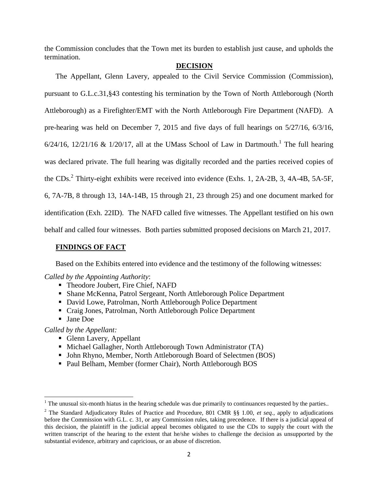the Commission concludes that the Town met its burden to establish just cause, and upholds the termination.

## **DECISION**

The Appellant, Glenn Lavery, appealed to the Civil Service Commission (Commission), pursuant to G.L.c.31,§43 contesting his termination by the Town of North Attleborough (North Attleborough) as a Firefighter/EMT with the North Attleborough Fire Department (NAFD). A pre-hearing was held on December 7, 2015 and five days of full hearings on 5/27/16, 6/3/16,  $6/24/16$ ,  $12/21/16$  &  $1/20/17$ , all at the UMass School of Law in Dartmouth.<sup>1</sup> The full hearing was declared private. The full hearing was digitally recorded and the parties received copies of the CDs.<sup>2</sup> Thirty-eight exhibits were received into evidence (Exhs. 1, 2A-2B, 3, 4A-4B, 5A-5F, 6, 7A-7B, 8 through 13, 14A-14B, 15 through 21, 23 through 25) and one document marked for identification (Exh. 22ID). The NAFD called five witnesses. The Appellant testified on his own behalf and called four witnesses. Both parties submitted proposed decisions on March 21, 2017.

## **FINDINGS OF FACT**

Based on the Exhibits entered into evidence and the testimony of the following witnesses:

## *Called by the Appointing Authority*:

- Theodore Joubert, Fire Chief, NAFD
- Shane McKenna, Patrol Sergeant, North Attleborough Police Department
- David Lowe, Patrolman, North Attleborough Police Department
- Craig Jones, Patrolman, North Attleborough Police Department
- Jane Doe

 $\overline{\phantom{a}}$ 

*Called by the Appellant:*

- Glenn Lavery, Appellant
- Michael Gallagher, North Attleborough Town Administrator (TA)
- John Rhyno, Member, North Attleborough Board of Selectmen (BOS)
- Paul Belham, Member (former Chair), North Attleborough BOS

 $1$  The unusual six-month hiatus in the hearing schedule was due primarily to continuances requested by the parties..

<sup>2</sup> The Standard Adjudicatory Rules of Practice and Procedure, 801 CMR §§ 1.00, *et seq.*, apply to adjudications before the Commission with G.L. c. 31, or any Commission rules, taking precedence. If there is a judicial appeal of this decision, the plaintiff in the judicial appeal becomes obligated to use the CDs to supply the court with the written transcript of the hearing to the extent that he/she wishes to challenge the decision as unsupported by the substantial evidence, arbitrary and capricious, or an abuse of discretion.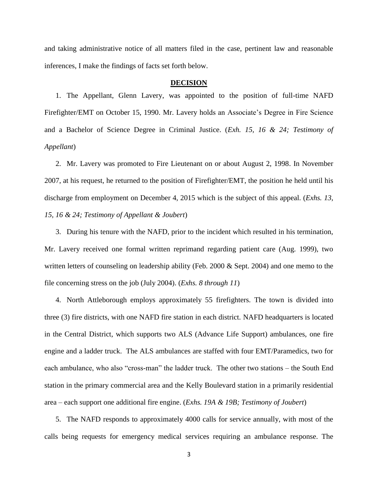and taking administrative notice of all matters filed in the case, pertinent law and reasonable inferences, I make the findings of facts set forth below.

#### **DECISION**

1. The Appellant, Glenn Lavery, was appointed to the position of full-time NAFD Firefighter/EMT on October 15, 1990. Mr. Lavery holds an Associate's Degree in Fire Science and a Bachelor of Science Degree in Criminal Justice. (*Exh. 15, 16 & 24; Testimony of Appellant*)

2. Mr. Lavery was promoted to Fire Lieutenant on or about August 2, 1998. In November 2007, at his request, he returned to the position of Firefighter/EMT, the position he held until his discharge from employment on December 4, 2015 which is the subject of this appeal. (*Exhs. 13, 15, 16 & 24; Testimony of Appellant & Joubert*)

3. During his tenure with the NAFD, prior to the incident which resulted in his termination, Mr. Lavery received one formal written reprimand regarding patient care (Aug. 1999), two written letters of counseling on leadership ability (Feb. 2000 & Sept. 2004) and one memo to the file concerning stress on the job (July 2004). (*Exhs. 8 through 11*)

4. North Attleborough employs approximately 55 firefighters. The town is divided into three (3) fire districts, with one NAFD fire station in each district. NAFD headquarters is located in the Central District, which supports two ALS (Advance Life Support) ambulances, one fire engine and a ladder truck. The ALS ambulances are staffed with four EMT/Paramedics, two for each ambulance, who also "cross-man" the ladder truck. The other two stations – the South End station in the primary commercial area and the Kelly Boulevard station in a primarily residential area – each support one additional fire engine. (*Exhs. 19A & 19B; Testimony of Joubert*)

5. The NAFD responds to approximately 4000 calls for service annually, with most of the calls being requests for emergency medical services requiring an ambulance response. The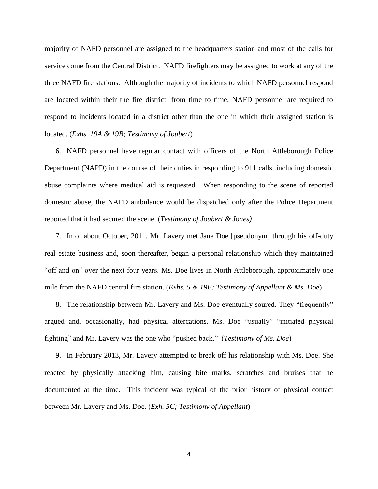majority of NAFD personnel are assigned to the headquarters station and most of the calls for service come from the Central District. NAFD firefighters may be assigned to work at any of the three NAFD fire stations. Although the majority of incidents to which NAFD personnel respond are located within their the fire district, from time to time, NAFD personnel are required to respond to incidents located in a district other than the one in which their assigned station is located. (*Exhs. 19A & 19B; Testimony of Joubert*)

6. NAFD personnel have regular contact with officers of the North Attleborough Police Department (NAPD) in the course of their duties in responding to 911 calls, including domestic abuse complaints where medical aid is requested. When responding to the scene of reported domestic abuse, the NAFD ambulance would be dispatched only after the Police Department reported that it had secured the scene. (*Testimony of Joubert & Jones)*

7. In or about October, 2011, Mr. Lavery met Jane Doe [pseudonym] through his off-duty real estate business and, soon thereafter, began a personal relationship which they maintained "off and on" over the next four years. Ms. Doe lives in North Attleborough, approximately one mile from the NAFD central fire station. (*Exhs. 5 & 19B; Testimony of Appellant & Ms. Doe*)

8. The relationship between Mr. Lavery and Ms. Doe eventually soured. They "frequently" argued and, occasionally, had physical altercations. Ms. Doe "usually" "initiated physical fighting" and Mr. Lavery was the one who "pushed back." (*Testimony of Ms. Doe*)

9. In February 2013, Mr. Lavery attempted to break off his relationship with Ms. Doe. She reacted by physically attacking him, causing bite marks, scratches and bruises that he documented at the time. This incident was typical of the prior history of physical contact between Mr. Lavery and Ms. Doe. (*Exh. 5C; Testimony of Appellant*)

4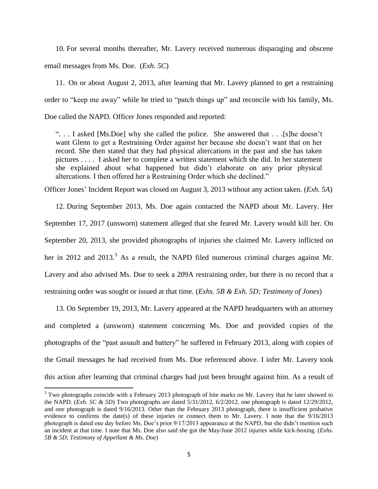10. For several months thereafter, Mr. Lavery received numerous disparaging and obscene email messages from Ms. Doe. (*Exh. 5C*)

11. On or about August 2, 2013, after learning that Mr. Lavery planned to get a restraining order to "keep me away" while he tried to "patch things up" and reconcile with his family, Ms. Doe called the NAPD. Officer Jones responded and reported:

". . . I asked [Ms.Doe] why she called the police. She answered that . . .[s]he doesn't want Glenn to get a Restraining Order against her because she doesn't want that on her record. She then stated that they had physical altercations in the past and she has taken pictures . . . . I asked her to complete a written statement which she did. In her statement she explained about what happened but didn't elaborate on any prior physical altercations. I then offered her a Restraining Order which she declined."

Officer Jones' Incident Report was closed on August 3, 2013 without any action taken. (*Exh. 5A*)

12. During September 2013, Ms. Doe again contacted the NAPD about Mr. Lavery. Her September 17, 2017 (unsworn) statement alleged that she feared Mr. Lavery would kill her. On September 20, 2013, she provided photographs of injuries she claimed Mr. Lavery inflicted on her in 2012 and 2013.<sup>3</sup> As a result, the NAPD filed numerous criminal charges against Mr. Lavery and also advised Ms. Doe to seek a 209A restraining order, but there is no record that a restraining order was sought or issued at that time. (*Exhs. 5B & Exh. 5D; Testimony of Jones*)

13. On September 19, 2013, Mr. Lavery appeared at the NAPD headquarters with an attorney and completed a (unsworn) statement concerning Ms. Doe and provided copies of the photographs of the "past assault and battery" he suffered in February 2013, along with copies of the Gmail messages he had received from Ms. Doe referenced above. I infer Mr. Lavery took this action after learning that criminal charges had just been brought against him. As a result of

 $\overline{a}$ 

 $3$  Two photographs coincide with a February 2013 photograph of bite marks on Mr. Lavery that he later showed to the NAPD. (*Exh. 5C & 5D*) Two photographs are dated 5/31/2012, 6/2/2012, one photograph is dated 12/29/2012, and one photograph is dated 9/16/2013. Other than the February 2013 photograph, there is insufficient probative evidence to confirms the date(s) of these injuries or connect them to Mr. Lavery. I note that the 9/16/2013 photograph is dated one day before Ms. Doe's prior 9/17/2013 appearance at the NAPD, but she didn't mention such an incident at that time. I note that Ms. Doe also said she got the May/June 2012 injuries while kick-boxing. (*Exhs. 5B & 5D*; *Testimony of Appellant & Ms. Doe*)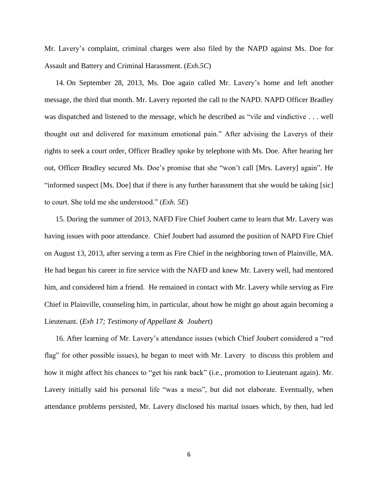Mr. Lavery's complaint, criminal charges were also filed by the NAPD against Ms. Doe for Assault and Battery and Criminal Harassment. (*Exh.5C*)

14. On September 28, 2013, Ms. Doe again called Mr. Lavery's home and left another message, the third that month. Mr. Lavery reported the call to the NAPD. NAPD Officer Bradley was dispatched and listened to the message, which he described as "vile and vindictive . . . well thought out and delivered for maximum emotional pain." After advising the Laverys of their rights to seek a court order, Officer Bradley spoke by telephone with Ms. Doe. After hearing her out, Officer Bradley secured Ms. Doe's promise that she "won't call [Mrs. Lavery] again". He "informed suspect [Ms. Doe] that if there is any further harassment that she would be taking [sic] to court. She told me she understood." (*Exh. 5E*)

15. During the summer of 2013, NAFD Fire Chief Joubert came to learn that Mr. Lavery was having issues with poor attendance. Chief Joubert had assumed the position of NAPD Fire Chief on August 13, 2013, after serving a term as Fire Chief in the neighboring town of Plainville, MA. He had begun his career in fire service with the NAFD and knew Mr. Lavery well, had mentored him, and considered him a friend. He remained in contact with Mr. Lavery while serving as Fire Chief in Plainville, counseling him, in particular, about how he might go about again becoming a Lieutenant. (*Exh 17; Testimony of Appellant & Jouber*t)

16. After learning of Mr. Lavery's attendance issues (which Chief Joubert considered a "red flag" for other possible issues), he began to meet with Mr. Lavery to discuss this problem and how it might affect his chances to "get his rank back" (i.e., promotion to Lieutenant again). Mr. Lavery initially said his personal life "was a mess", but did not elaborate. Eventually, when attendance problems persisted, Mr. Lavery disclosed his marital issues which, by then, had led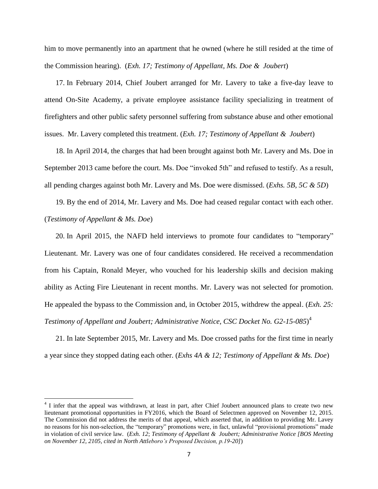him to move permanently into an apartment that he owned (where he still resided at the time of the Commission hearing). (*Exh. 17; Testimony of Appellant, Ms. Doe & Joubert*)

17. In February 2014, Chief Joubert arranged for Mr. Lavery to take a five-day leave to attend On-Site Academy, a private employee assistance facility specializing in treatment of firefighters and other public safety personnel suffering from substance abuse and other emotional issues. Mr. Lavery completed this treatment. (*Exh. 17; Testimony of Appellant & Joubert*)

18. In April 2014, the charges that had been brought against both Mr. Lavery and Ms. Doe in September 2013 came before the court. Ms. Doe "invoked 5th" and refused to testify. As a result, all pending charges against both Mr. Lavery and Ms. Doe were dismissed. (*Exhs. 5B, 5C & 5D*)

19. By the end of 2014, Mr. Lavery and Ms. Doe had ceased regular contact with each other. (*Testimony of Appellant & Ms. Doe*)

20. In April 2015, the NAFD held interviews to promote four candidates to "temporary" Lieutenant. Mr. Lavery was one of four candidates considered. He received a recommendation from his Captain, Ronald Meyer, who vouched for his leadership skills and decision making ability as Acting Fire Lieutenant in recent months. Mr. Lavery was not selected for promotion. He appealed the bypass to the Commission and, in October 2015, withdrew the appeal. (*Exh. 25: Testimony of Appellant and Joubert; Administrative Notice, CSC Docket No. G2-15-085*) 4

21. In late September 2015, Mr. Lavery and Ms. Doe crossed paths for the first time in nearly a year since they stopped dating each other. (*Exhs 4A & 12; Testimony of Appellant & Ms. Doe*)

l

<sup>&</sup>lt;sup>4</sup> I infer that the appeal was withdrawn, at least in part, after Chief Joubert announced plans to create two new lieutenant promotional opportunities in FY2016, which the Board of Selectmen approved on November 12, 2015. The Commission did not address the merits of that appeal, which asserted that, in addition to providing Mr. Lavey no reasons for his non-selection, the "temporary" promotions were, in fact, unlawful "provisional promotions" made in violation of civil service law. (*Exh. 12*; *Testimony of Appellant & Joubert; Administrative Notice [BOS Meeting on November 12, 2105, cited in North Attleboro's Proposed Decision, p.19-20]*)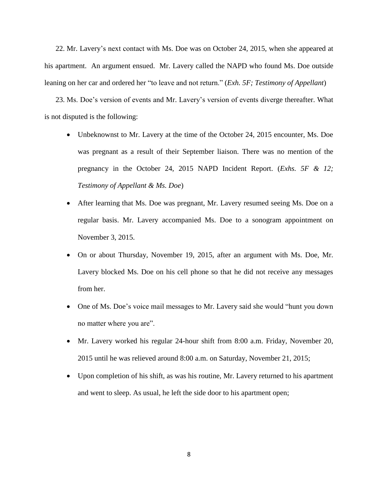22. Mr. Lavery's next contact with Ms. Doe was on October 24, 2015, when she appeared at his apartment. An argument ensued. Mr. Lavery called the NAPD who found Ms. Doe outside leaning on her car and ordered her "to leave and not return." (*Exh. 5F; Testimony of Appellant*)

23. Ms. Doe's version of events and Mr. Lavery's version of events diverge thereafter. What is not disputed is the following:

- Unbeknownst to Mr. Lavery at the time of the October 24, 2015 encounter, Ms. Doe was pregnant as a result of their September liaison. There was no mention of the pregnancy in the October 24, 2015 NAPD Incident Report. (*Exhs. 5F & 12; Testimony of Appellant & Ms. Doe*)
- After learning that Ms. Doe was pregnant, Mr. Lavery resumed seeing Ms. Doe on a regular basis. Mr. Lavery accompanied Ms. Doe to a sonogram appointment on November 3, 2015.
- On or about Thursday, November 19, 2015, after an argument with Ms. Doe, Mr. Lavery blocked Ms. Doe on his cell phone so that he did not receive any messages from her.
- One of Ms. Doe's voice mail messages to Mr. Lavery said she would "hunt you down no matter where you are".
- Mr. Lavery worked his regular 24-hour shift from 8:00 a.m. Friday, November 20, 2015 until he was relieved around 8:00 a.m. on Saturday, November 21, 2015;
- Upon completion of his shift, as was his routine, Mr. Lavery returned to his apartment and went to sleep. As usual, he left the side door to his apartment open;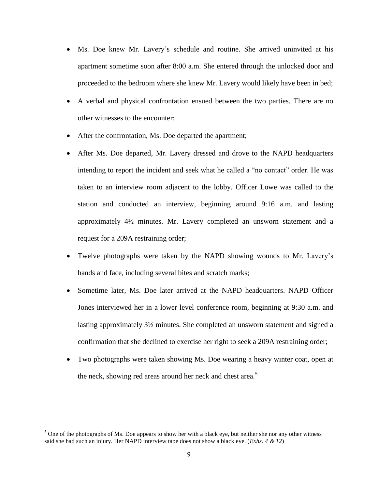- Ms. Doe knew Mr. Lavery's schedule and routine. She arrived uninvited at his apartment sometime soon after 8:00 a.m. She entered through the unlocked door and proceeded to the bedroom where she knew Mr. Lavery would likely have been in bed;
- A verbal and physical confrontation ensued between the two parties. There are no other witnesses to the encounter;
- After the confrontation, Ms. Doe departed the apartment;
- After Ms. Doe departed, Mr. Lavery dressed and drove to the NAPD headquarters intending to report the incident and seek what he called a "no contact" order. He was taken to an interview room adjacent to the lobby. Officer Lowe was called to the station and conducted an interview, beginning around 9:16 a.m. and lasting approximately 4½ minutes. Mr. Lavery completed an unsworn statement and a request for a 209A restraining order;
- Twelve photographs were taken by the NAPD showing wounds to Mr. Lavery's hands and face, including several bites and scratch marks;
- Sometime later, Ms. Doe later arrived at the NAPD headquarters. NAPD Officer Jones interviewed her in a lower level conference room, beginning at 9:30 a.m. and lasting approximately 3½ minutes. She completed an unsworn statement and signed a confirmation that she declined to exercise her right to seek a 209A restraining order;
- Two photographs were taken showing Ms. Doe wearing a heavy winter coat, open at the neck, showing red areas around her neck and chest area.<sup>5</sup>

 $\overline{\phantom{a}}$ 

 $<sup>5</sup>$  One of the photographs of Ms. Doe appears to show her with a black eye, but neither she nor any other witness</sup> said she had such an injury. Her NAPD interview tape does not show a black eye. (*Exhs. 4 & 12*)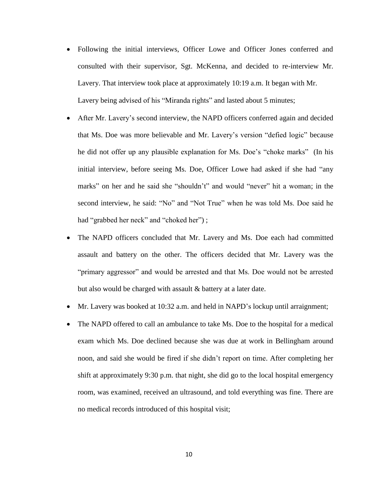- Following the initial interviews, Officer Lowe and Officer Jones conferred and consulted with their supervisor, Sgt. McKenna, and decided to re-interview Mr. Lavery. That interview took place at approximately 10:19 a.m. It began with Mr. Lavery being advised of his "Miranda rights" and lasted about 5 minutes;
- After Mr. Lavery's second interview, the NAPD officers conferred again and decided that Ms. Doe was more believable and Mr. Lavery's version "defied logic" because he did not offer up any plausible explanation for Ms. Doe's "choke marks" (In his initial interview, before seeing Ms. Doe, Officer Lowe had asked if she had "any marks" on her and he said she "shouldn't" and would "never" hit a woman; in the second interview, he said: "No" and "Not True" when he was told Ms. Doe said he had "grabbed her neck" and "choked her");
- The NAPD officers concluded that Mr. Lavery and Ms. Doe each had committed assault and battery on the other. The officers decided that Mr. Lavery was the "primary aggressor" and would be arrested and that Ms. Doe would not be arrested but also would be charged with assault & battery at a later date.
- Mr. Lavery was booked at 10:32 a.m. and held in NAPD's lockup until arraignment;
- The NAPD offered to call an ambulance to take Ms. Doe to the hospital for a medical exam which Ms. Doe declined because she was due at work in Bellingham around noon, and said she would be fired if she didn't report on time. After completing her shift at approximately 9:30 p.m. that night, she did go to the local hospital emergency room, was examined, received an ultrasound, and told everything was fine. There are no medical records introduced of this hospital visit;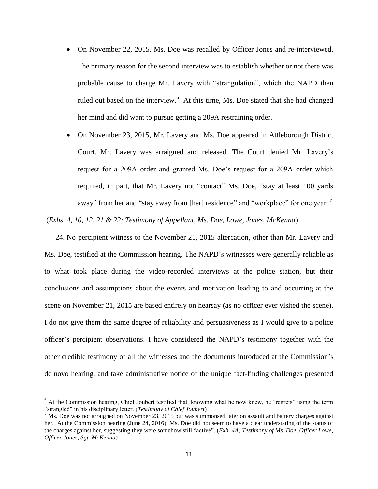- On November 22, 2015, Ms. Doe was recalled by Officer Jones and re-interviewed. The primary reason for the second interview was to establish whether or not there was probable cause to charge Mr. Lavery with "strangulation", which the NAPD then ruled out based on the interview.<sup>6</sup> At this time, Ms. Doe stated that she had changed her mind and did want to pursue getting a 209A restraining order.
- On November 23, 2015, Mr. Lavery and Ms. Doe appeared in Attleborough District Court. Mr. Lavery was arraigned and released. The Court denied Mr. Lavery's request for a 209A order and granted Ms. Doe's request for a 209A order which required, in part, that Mr. Lavery not "contact" Ms. Doe, "stay at least 100 yards away" from her and "stay away from [her] residence" and "workplace" for one year.<sup>7</sup>

(*Exhs. 4, 10, 12, 21 & 22; Testimony of Appellant, Ms. Doe, Lowe, Jones, McKenna*)

24. No percipient witness to the November 21, 2015 altercation, other than Mr. Lavery and Ms. Doe, testified at the Commission hearing. The NAPD's witnesses were generally reliable as to what took place during the video-recorded interviews at the police station, but their conclusions and assumptions about the events and motivation leading to and occurring at the scene on November 21, 2015 are based entirely on hearsay (as no officer ever visited the scene). I do not give them the same degree of reliability and persuasiveness as I would give to a police officer's percipient observations. I have considered the NAPD's testimony together with the other credible testimony of all the witnesses and the documents introduced at the Commission's de novo hearing, and take administrative notice of the unique fact-finding challenges presented

 $\overline{\phantom{a}}$ 

 $6$  At the Commission hearing, Chief Joubert testified that, knowing what he now knew, he "regrets" using the term "strangled" in his disciplinary letter. (*Testimony of Chief Joubert*)

 $<sup>7</sup>$  Ms. Doe was not arraigned on November 23, 2015 but was summonsed later on assault and battery charges against</sup> her. At the Commission hearing (June 24, 2016), Ms. Doe did not seem to have a clear understating of the status of the charges against her, suggesting they were somehow still "active". (*Exh. 4A; Testimony of Ms. Doe, Officer Lowe, Officer Jones, Sgt. McKenna*)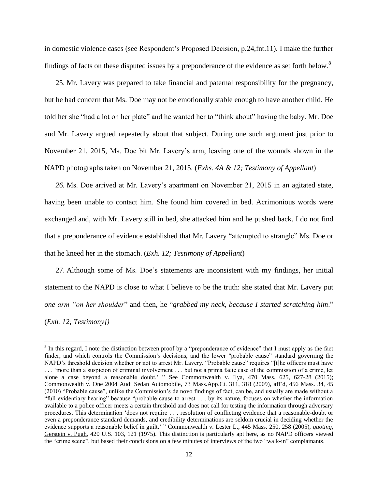in domestic violence cases (see Respondent's Proposed Decision, p.24,fnt.11). I make the further findings of facts on these disputed issues by a preponderance of the evidence as set forth below.<sup>8</sup>

25. Mr. Lavery was prepared to take financial and paternal responsibility for the pregnancy, but he had concern that Ms. Doe may not be emotionally stable enough to have another child. He told her she "had a lot on her plate" and he wanted her to "think about" having the baby. Mr. Doe and Mr. Lavery argued repeatedly about that subject. During one such argument just prior to November 21, 2015, Ms. Doe bit Mr. Lavery's arm, leaving one of the wounds shown in the NAPD photographs taken on November 21, 2015. (*Exhs. 4A & 12; Testimony of Appellant*)

*26.* Ms. Doe arrived at Mr. Lavery's apartment on November 21, 2015 in an agitated state, having been unable to contact him. She found him covered in bed. Acrimonious words were exchanged and, with Mr. Lavery still in bed, she attacked him and he pushed back. I do not find that a preponderance of evidence established that Mr. Lavery "attempted to strangle" Ms. Doe or that he kneed her in the stomach. (*Exh. 12; Testimony of Appellant*)

27. Although some of Ms. Doe's statements are inconsistent with my findings, her initial statement to the NAPD is close to what I believe to be the truth: she stated that Mr. Lavery put *one arm "on her shoulder*" and then, he "*grabbed my neck, because I started scratching him*." (*Exh. 12; Testimony])*

 $\overline{a}$ 

 $8$  In this regard, I note the distinction between proof by a "preponderance of evidence" that I must apply as the fact finder, and which controls the Commission's decisions, and the lower "probable cause" standard governing the NAPD's threshold decision whether or not to arrest Mr. Lavery. "Probable cause" requires "[t]he officers must have . . . 'more than a suspicion of criminal involvement . . . but not a prima facie case of the commission of a crime, let alone a case beyond a reasonable doubt.' " See Commonwealth v. Ilya, 470 Mass. 625, 627-28 (2015); Commonwealth v. One 2004 Audi Sedan Automobile, 73 Mass.App.Ct. 311, 318 (2009), aff'd, 456 Mass. 34, 45 (2010) "Probable cause", unlike the Commission's de novo findings of fact, can be, and usually are made without a "full evidentiary hearing" because "probable cause to arrest . . . by its nature, focuses on whether the information available to a police officer meets a certain threshold and does not call for testing the information through adversary procedures. This determination 'does not require . . . resolution of conflicting evidence that a reasonable-doubt or even a preponderance standard demands, and credibility determinations are seldom crucial in deciding whether the evidence supports a reasonable belief in guilt.' " Commonwealth v. Lester L., 445 Mass. 250, 258 (2005), *quoting*, Gerstein v. Pugh, 420 U.S. 103, 121 (1975). This distinction is particularly apt here, as no NAPD officers viewed the "crime scene", but based their conclusions on a few minutes of interviews of the two "walk-in" complainants.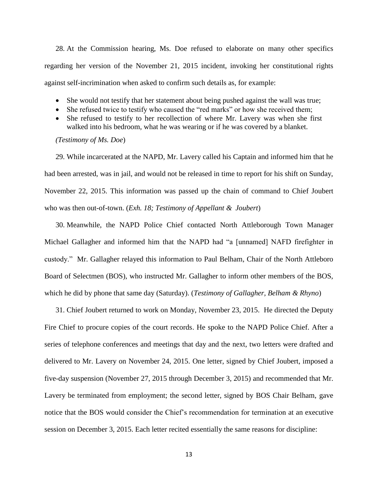28. At the Commission hearing, Ms. Doe refused to elaborate on many other specifics regarding her version of the November 21, 2015 incident, invoking her constitutional rights against self-incrimination when asked to confirm such details as, for example:

- She would not testify that her statement about being pushed against the wall was true;
- She refused twice to testify who caused the "red marks" or how she received them;
- She refused to testify to her recollection of where Mr. Lavery was when she first walked into his bedroom, what he was wearing or if he was covered by a blanket.

## *(Testimony of Ms. Doe*)

29. While incarcerated at the NAPD, Mr. Lavery called his Captain and informed him that he had been arrested, was in jail, and would not be released in time to report for his shift on Sunday, November 22, 2015. This information was passed up the chain of command to Chief Joubert who was then out-of-town. (*Exh. 18; Testimony of Appellant & Joubert*)

30. Meanwhile, the NAPD Police Chief contacted North Attleborough Town Manager Michael Gallagher and informed him that the NAPD had "a [unnamed] NAFD firefighter in custody." Mr. Gallagher relayed this information to Paul Belham, Chair of the North Attleboro Board of Selectmen (BOS), who instructed Mr. Gallagher to inform other members of the BOS, which he did by phone that same day (Saturday). (*Testimony of Gallagher, Belham & Rhyno*)

31. Chief Joubert returned to work on Monday, November 23, 2015. He directed the Deputy Fire Chief to procure copies of the court records. He spoke to the NAPD Police Chief. After a series of telephone conferences and meetings that day and the next, two letters were drafted and delivered to Mr. Lavery on November 24, 2015. One letter, signed by Chief Joubert, imposed a five-day suspension (November 27, 2015 through December 3, 2015) and recommended that Mr. Lavery be terminated from employment; the second letter, signed by BOS Chair Belham, gave notice that the BOS would consider the Chief's recommendation for termination at an executive session on December 3, 2015. Each letter recited essentially the same reasons for discipline: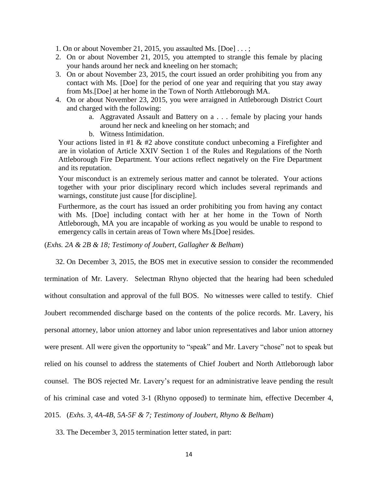1. On or about November 21, 2015, you assaulted Ms. [Doe] . . . ;

- 2. On or about November 21, 2015, you attempted to strangle this female by placing your hands around her neck and kneeling on her stomach;
- 3. On or about November 23, 2015, the court issued an order prohibiting you from any contact with Ms. [Doe] for the period of one year and requiring that you stay away from Ms.[Doe] at her home in the Town of North Attleborough MA.
- 4. On or about November 23, 2015, you were arraigned in Attleborough District Court and charged with the following:
	- a. Aggravated Assault and Battery on a . . . female by placing your hands around her neck and kneeling on her stomach; and
	- b. Witness Intimidation.

Your actions listed in  $#1 \& #2$  above constitute conduct unbecoming a Firefighter and are in violation of Article XXIV Section 1 of the Rules and Regulations of the North Attleborough Fire Department. Your actions reflect negatively on the Fire Department and its reputation.

Your misconduct is an extremely serious matter and cannot be tolerated. Your actions together with your prior disciplinary record which includes several reprimands and warnings, constitute just cause [for discipline].

Furthermore, as the court has issued an order prohibiting you from having any contact with Ms. [Doe] including contact with her at her home in the Town of North Attleborough, MA you are incapable of working as you would be unable to respond to emergency calls in certain areas of Town where Ms.[Doe] resides.

(*Exhs. 2A & 2B & 18; Testimony of Joubert, Gallagher & Belham*)

32. On December 3, 2015, the BOS met in executive session to consider the recommended

termination of Mr. Lavery. Selectman Rhyno objected that the hearing had been scheduled without consultation and approval of the full BOS. No witnesses were called to testify. Chief Joubert recommended discharge based on the contents of the police records. Mr. Lavery, his personal attorney, labor union attorney and labor union representatives and labor union attorney were present. All were given the opportunity to "speak" and Mr. Lavery "chose" not to speak but relied on his counsel to address the statements of Chief Joubert and North Attleborough labor counsel. The BOS rejected Mr. Lavery's request for an administrative leave pending the result of his criminal case and voted 3-1 (Rhyno opposed) to terminate him, effective December 4, 2015. (*Exhs. 3, 4A-4B, 5A-5F & 7; Testimony of Joubert, Rhyno & Belham*)

33. The December 3, 2015 termination letter stated, in part: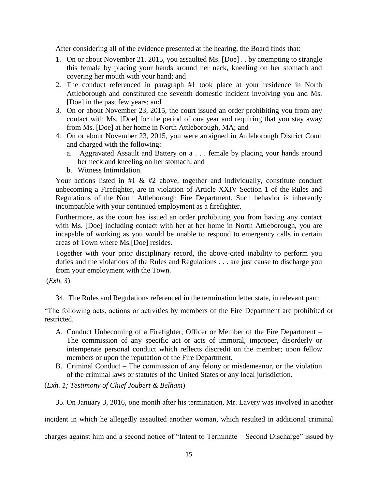After considering all of the evidence presented at the hearing, the Board finds that:

- 1. On or about November 21, 2015, you assaulted Ms. [Doe] . . by attempting to strangle this female by placing your hands around her neck, kneeling on her stomach and covering her mouth with your hand; and
- 2. The conduct referenced in paragraph #1 took place at your residence in North Attleborough and constituted the seventh domestic incident involving you and Ms. [Doe] in the past few years; and
- 3. On or about November 23, 2015, the court issued an order prohibiting you from any contact with Ms. [Doe] for the period of one year and requiring that you stay away from Ms. [Doe] at her home in North Attleborough, MA; and
- 4. On or about November 23, 2015, you were arraigned in Attleborough District Court and charged with the following:
	- a. Aggravated Assault and Battery on a . . . female by placing your hands around her neck and kneeling on her stomach; and
	- b. Witness Intimidation.

Your actions listed in  $#1 \& #2$  above, together and individually, constitute conduct unbecoming a Firefighter, are in violation of Article XXIV Section 1 of the Rules and Regulations of the North Attleborough Fire Department. Such behavior is inherently incompatible with your continued employment as a firefighter.

Furthermore, as the court has issued an order prohibiting you from having any contact with Ms. [Doe] including contact with her at her home in North Attleborough, you are incapable of working as you would be unable to respond to emergency calls in certain areas of Town where Ms.[Doe] resides.

Together with your prior disciplinary record, the above-cited inability to perform you duties and the violations of the Rules and Regulations . . . are just cause to discharge you from your employment with the Town.

(*Exh. 3*)

34. The Rules and Regulations referenced in the termination letter state, in relevant part:

"The following acts, actions or activities by members of the Fire Department are prohibited or restricted.

- A. Conduct Unbecoming of a Firefighter, Officer or Member of the Fire Department The commission of any specific act or acts of immoral, improper, disorderly or intemperate personal conduct which reflects discredit on the member; upon fellow members or upon the reputation of the Fire Department.
- B. Criminal Conduct The commission of any felony or misdemeanor, or the violation of the criminal laws or statutes of the United States or any local jurisdiction.

(*Exh. 1; Testimony of Chief Joubert & Belham*)

35. On January 3, 2016, one month after his termination, Mr. Lavery was involved in another

incident in which he allegedly assaulted another woman, which resulted in additional criminal

charges against him and a second notice of "Intent to Terminate – Second Discharge" issued by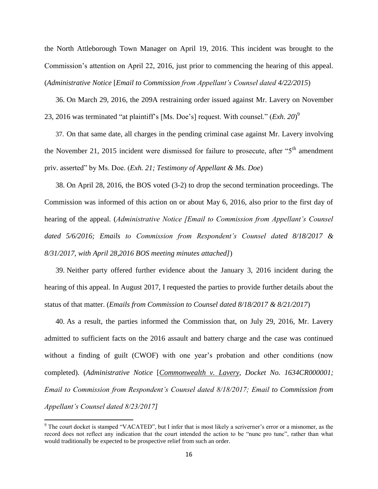the North Attleborough Town Manager on April 19, 2016. This incident was brought to the Commission's attention on April 22, 2016, just prior to commencing the hearing of this appeal. (*Administrative Notice* [*Email to Commission from Appellant's Counsel dated 4/22/2015*)

36. On March 29, 2016, the 209A restraining order issued against Mr. Lavery on November 23, 2016 was terminated "at plaintiff's [Ms. Doe's] request. With counsel." (*Exh. 20*) 9

37. On that same date, all charges in the pending criminal case against Mr. Lavery involving the November 21, 2015 incident were dismissed for failure to prosecute, after " $5<sup>th</sup>$  amendment priv. asserted" by Ms. Doe. (*Exh. 21; Testimony of Appellant & Ms. Doe*)

38. On April 28, 2016, the BOS voted (3-2) to drop the second termination proceedings. The Commission was informed of this action on or about May 6, 2016, also prior to the first day of hearing of the appeal. (*Administrative Notice [Email to Commission from Appellant's Counsel dated 5/6/2016; Emails to Commission from Respondent's Counsel dated 8/18/2017 & 8/31/2017, with April 28,2016 BOS meeting minutes attached]*)

39. Neither party offered further evidence about the January 3, 2016 incident during the hearing of this appeal. In August 2017, I requested the parties to provide further details about the status of that matter. (*Emails from Commission to Counsel dated 8/18/2017 & 8/21/2017*)

40. As a result, the parties informed the Commission that, on July 29, 2016, Mr. Lavery admitted to sufficient facts on the 2016 assault and battery charge and the case was continued without a finding of guilt (CWOF) with one year's probation and other conditions (now completed). (*Administrative Notice* [*Commonwealth v. Lavery*, *Docket No. 1634CR000001; Email to Commission from Respondent's Counsel dated 8/18/2017; Email to Commission from Appellant's Counsel dated 8/23/2017]*

 $\overline{\phantom{a}}$ 

<sup>9</sup> The court docket is stamped "VACATED", but I infer that is most likely a scriverner's error or a misnomer, as the record does not reflect any indication that the court intended the action to be "nunc pro tunc", rather than what would traditionally be expected to be prospective relief from such an order.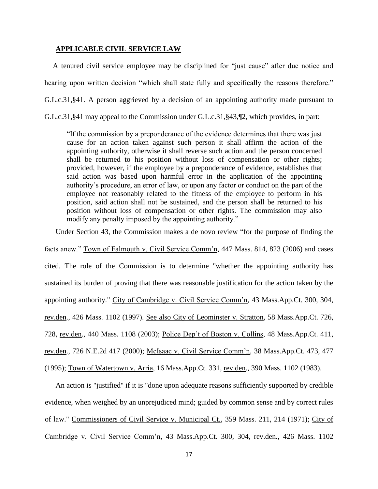#### **APPLICABLE CIVIL SERVICE LAW**

A tenured civil service employee may be disciplined for "just cause" after due notice and hearing upon written decision "which shall state fully and specifically the reasons therefore." G.L.c.31,§41. A person aggrieved by a decision of an appointing authority made pursuant to G.L.c.31,§41 may appeal to the Commission under G.L.c.31,§43,¶2, which provides, in part:

"If the commission by a preponderance of the evidence determines that there was just cause for an action taken against such person it shall affirm the action of the appointing authority, otherwise it shall reverse such action and the person concerned shall be returned to his position without loss of compensation or other rights; provided, however, if the employee by a preponderance of evidence, establishes that said action was based upon harmful error in the application of the appointing authority's procedure, an error of law, or upon any factor or conduct on the part of the employee not reasonably related to the fitness of the employee to perform in his position, said action shall not be sustained, and the person shall be returned to his position without loss of compensation or other rights. The commission may also modify any penalty imposed by the appointing authority."

Under Section 43, the Commission makes a de novo review "for the purpose of finding the

facts anew." Town of Falmouth v. Civil Service Comm'n, 447 Mass. 814, 823 (2006) and cases cited. The role of the Commission is to determine "whether the appointing authority has sustained its burden of proving that there was reasonable justification for the action taken by the appointing authority." City of Cambridge v. Civil Service Comm'n, 43 Mass.App.Ct. 300, 304, rev.den., 426 Mass. 1102 (1997). See also City of Leominster v. Stratton, 58 Mass.App.Ct. 726, 728, rev.den., 440 Mass. 1108 (2003); Police Dep't of Boston v. Collins, 48 Mass.App.Ct. 411, rev.den., 726 N.E.2d 417 (2000); McIsaac v. Civil Service Comm'n, 38 Mass.App.Ct. 473, 477 (1995); Town of Watertown v. Arria, 16 Mass.App.Ct. 331, rev.den., 390 Mass. 1102 (1983).

An action is "justified" if it is "done upon adequate reasons sufficiently supported by credible evidence, when weighed by an unprejudiced mind; guided by common sense and by correct rules of law." Commissioners of Civil Service v. Municipal Ct., 359 Mass. 211, 214 (1971); City of Cambridge v. Civil Service Comm'n, 43 Mass.App.Ct. 300, 304, rev.den., 426 Mass. 1102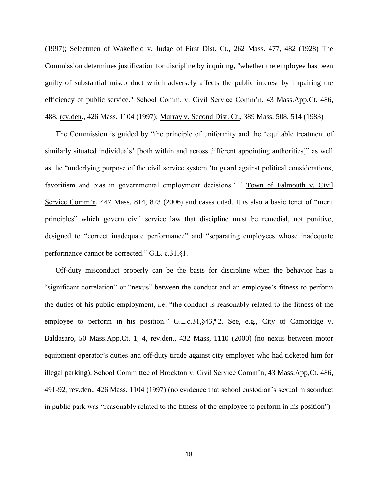(1997); Selectmen of Wakefield v. Judge of First Dist. Ct., 262 Mass. 477, 482 (1928) The Commission determines justification for discipline by inquiring, "whether the employee has been guilty of substantial misconduct which adversely affects the public interest by impairing the efficiency of public service." School Comm. v. Civil Service Comm'n, 43 Mass.App.Ct. 486, 488, rev.den., 426 Mass. 1104 (1997); Murray v. Second Dist. Ct., 389 Mass. 508, 514 (1983)

The Commission is guided by "the principle of uniformity and the 'equitable treatment of similarly situated individuals' [both within and across different appointing authorities]" as well as the "underlying purpose of the civil service system 'to guard against political considerations, favoritism and bias in governmental employment decisions.' " Town of Falmouth v. Civil Service Comm'n, 447 Mass. 814, 823 (2006) and cases cited. It is also a basic tenet of "merit principles" which govern civil service law that discipline must be remedial, not punitive, designed to "correct inadequate performance" and "separating employees whose inadequate performance cannot be corrected." G.L. c.31,§1.

Off-duty misconduct properly can be the basis for discipline when the behavior has a "significant correlation" or "nexus" between the conduct and an employee's fitness to perform the duties of his public employment, i.e. "the conduct is reasonably related to the fitness of the employee to perform in his position." G.L.c.31, §43, ¶2. See, e.g., City of Cambridge v. Baldasaro, 50 Mass.App.Ct. 1, 4, rev.den., 432 Mass, 1110 (2000) (no nexus between motor equipment operator's duties and off-duty tirade against city employee who had ticketed him for illegal parking); School Committee of Brockton v. Civil Service Comm'n, 43 Mass.App,Ct. 486, 491-92, rev.den., 426 Mass. 1104 (1997) (no evidence that school custodian's sexual misconduct in public park was "reasonably related to the fitness of the employee to perform in his position")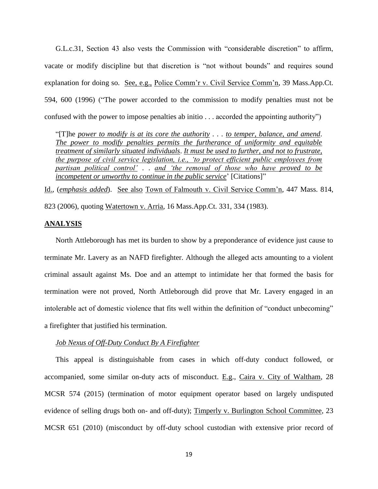G.L.c.31, Section 43 also vests the Commission with "considerable discretion" to affirm, vacate or modify discipline but that discretion is "not without bounds" and requires sound explanation for doing so. See, e.g., Police Comm'r v. Civil Service Comm'n, 39 Mass.App.Ct. 594, 600 (1996) ("The power accorded to the commission to modify penalties must not be confused with the power to impose penalties ab initio . . . accorded the appointing authority")

"[T]he *power to modify is at its core the authority . . . to temper, balance, and amend*. *The power to modify penalties permits the furtherance of uniformity and equitable treatment of similarly situated individuals*. *It must be used to further, and not to frustrate, the purpose of civil service legislation, i.e., 'to protect efficient public employees from partisan political control'* . . *and 'the removal of those who have proved to be incompetent or unworthy to continue in the public service*' [Citations]"

Id., (*emphasis added*). See also Town of Falmouth v. Civil Service Comm'n, 447 Mass. 814, 823 (2006), quoting Watertown v. Arria, 16 Mass.App.Ct. 331, 334 (1983).

## **ANALYSIS**

North Attleborough has met its burden to show by a preponderance of evidence just cause to terminate Mr. Lavery as an NAFD firefighter. Although the alleged acts amounting to a violent criminal assault against Ms. Doe and an attempt to intimidate her that formed the basis for termination were not proved, North Attleborough did prove that Mr. Lavery engaged in an intolerable act of domestic violence that fits well within the definition of "conduct unbecoming" a firefighter that justified his termination.

## *Job Nexus of Off-Duty Conduct By A Firefighter*

This appeal is distinguishable from cases in which off-duty conduct followed, or accompanied, some similar on-duty acts of misconduct. E.g., Caira v. City of Waltham, 28 MCSR 574 (2015) (termination of motor equipment operator based on largely undisputed evidence of selling drugs both on- and off-duty); Timperly v. Burlington School Committee, 23 MCSR 651 (2010) (misconduct by off-duty school custodian with extensive prior record of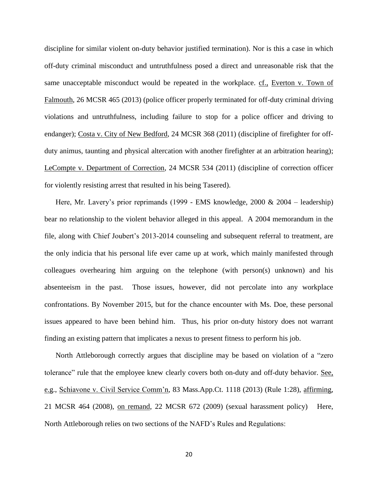discipline for similar violent on-duty behavior justified termination). Nor is this a case in which off-duty criminal misconduct and untruthfulness posed a direct and unreasonable risk that the same unacceptable misconduct would be repeated in the workplace. cf., Everton v. Town of Falmouth, 26 MCSR 465 (2013) (police officer properly terminated for off-duty criminal driving violations and untruthfulness, including failure to stop for a police officer and driving to endanger); Costa v. City of New Bedford, 24 MCSR 368 (2011) (discipline of firefighter for offduty animus, taunting and physical altercation with another firefighter at an arbitration hearing); LeCompte v. Department of Correction, 24 MCSR 534 (2011) (discipline of correction officer for violently resisting arrest that resulted in his being Tasered).

Here, Mr. Lavery's prior reprimands (1999 - EMS knowledge, 2000 & 2004 – leadership) bear no relationship to the violent behavior alleged in this appeal. A 2004 memorandum in the file, along with Chief Joubert's 2013-2014 counseling and subsequent referral to treatment, are the only indicia that his personal life ever came up at work, which mainly manifested through colleagues overhearing him arguing on the telephone (with person(s) unknown) and his absenteeism in the past. Those issues, however, did not percolate into any workplace confrontations. By November 2015, but for the chance encounter with Ms. Doe, these personal issues appeared to have been behind him. Thus, his prior on-duty history does not warrant finding an existing pattern that implicates a nexus to present fitness to perform his job.

North Attleborough correctly argues that discipline may be based on violation of a "zero tolerance" rule that the employee knew clearly covers both on-duty and off-duty behavior. See, e.g., Schiavone v. Civil Service Comm'n, 83 Mass.App.Ct. 1118 (2013) (Rule 1:28), affirming, 21 MCSR 464 (2008), on remand, 22 MCSR 672 (2009) (sexual harassment policy) Here, North Attleborough relies on two sections of the NAFD's Rules and Regulations: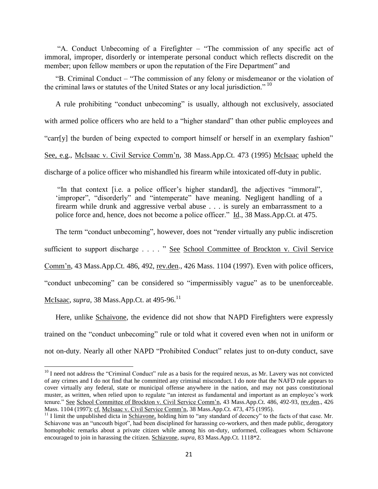"A. Conduct Unbecoming of a Firefighter – "The commission of any specific act of immoral, improper, disorderly or intemperate personal conduct which reflects discredit on the member; upon fellow members or upon the reputation of the Fire Department" and

"B. Criminal Conduct – "The commission of any felony or misdemeanor or the violation of the criminal laws or statutes of the United States or any local jurisdiction." <sup>10</sup>

A rule prohibiting "conduct unbecoming" is usually, although not exclusively, associated with armed police officers who are held to a "higher standard" than other public employees and "carr[y] the burden of being expected to comport himself or herself in an exemplary fashion" See, e.g., McIsaac v. Civil Service Comm'n, 38 Mass.App.Ct. 473 (1995) McIsaac upheld the discharge of a police officer who mishandled his firearm while intoxicated off-duty in public.

"In that context [i.e. a police officer's higher standard], the adjectives "immoral", 'improper", "disorderly" and "intemperate" have meaning. Negligent handling of a firearm while drunk and aggressive verbal abuse . . . is surely an embarrassment to a police force and, hence, does not become a police officer." Id., 38 Mass.App.Ct. at 475.

The term "conduct unbecoming", however, does not "render virtually any public indiscretion

sufficient to support discharge . . . . " See School Committee of Brockton v. Civil Service

Comm'n, 43 Mass.App.Ct. 486, 492, rev.den., 426 Mass. 1104 (1997). Even with police officers,

"conduct unbecoming" can be considered so "impermissibly vague" as to be unenforceable.

McIsaac, *supra*, 38 Mass.App.Ct. at 495-96.<sup>11</sup>

l

Here, unlike Schaivone, the evidence did not show that NAPD Firefighters were expressly trained on the "conduct unbecoming" rule or told what it covered even when not in uniform or not on-duty. Nearly all other NAPD "Prohibited Conduct" relates just to on-duty conduct, save

 $10$  I need not address the "Criminal Conduct" rule as a basis for the required nexus, as Mr. Lavery was not convicted of any crimes and I do not find that he committed any criminal misconduct. I do note that the NAFD rule appears to cover virtually any federal, state or municipal offense anywhere in the nation, and may not pass constitutional muster, as written, when relied upon to regulate "an interest as fundamental and important as an employee's work tenure." See School Committee of Brockton v. Civil Service Comm'n, 43 Mass.App.Ct. 486, 492-93, rev.den., 426 Mass. 1104 (1997); cf. McIsaac v. Civil Service Comm'n, 38 Mass.App.Ct. 473, 475 (1995).

<sup>&</sup>lt;sup>11</sup> I limit the unpublished dicta in Schiavone, holding him to "any standard of decency" to the facts of that case. Mr. Schiavone was an "uncouth bigot", had been disciplined for harassing co-workers, and then made public, derogatory homophobic remarks about a private citizen while among his on-duty, unformed, colleagues whom Schiavone encouraged to join in harassing the citizen. Schiavone, *supra*, 83 Mass.App.Ct. 1118\*2.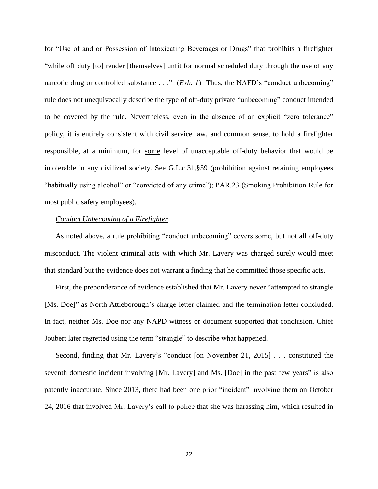for "Use of and or Possession of Intoxicating Beverages or Drugs" that prohibits a firefighter "while off duty [to] render [themselves] unfit for normal scheduled duty through the use of any narcotic drug or controlled substance . . ." (*Exh. 1*) Thus, the NAFD's "conduct unbecoming" rule does not unequivocally describe the type of off-duty private "unbecoming" conduct intended to be covered by the rule. Nevertheless, even in the absence of an explicit "zero tolerance" policy, it is entirely consistent with civil service law, and common sense, to hold a firefighter responsible, at a minimum, for some level of unacceptable off-duty behavior that would be intolerable in any civilized society. See G.L.c.31,§59 (prohibition against retaining employees "habitually using alcohol" or "convicted of any crime"); PAR.23 (Smoking Prohibition Rule for most public safety employees).

### *Conduct Unbecoming of a Firefighter*

As noted above, a rule prohibiting "conduct unbecoming" covers some, but not all off-duty misconduct. The violent criminal acts with which Mr. Lavery was charged surely would meet that standard but the evidence does not warrant a finding that he committed those specific acts.

First, the preponderance of evidence established that Mr. Lavery never "attempted to strangle [Ms. Doe]" as North Attleborough's charge letter claimed and the termination letter concluded. In fact, neither Ms. Doe nor any NAPD witness or document supported that conclusion. Chief Joubert later regretted using the term "strangle" to describe what happened.

Second, finding that Mr. Lavery's "conduct [on November 21, 2015] . . . constituted the seventh domestic incident involving [Mr. Lavery] and Ms. [Doe] in the past few years" is also patently inaccurate. Since 2013, there had been <u>one</u> prior "incident" involving them on October 24, 2016 that involved Mr. Lavery's call to police that she was harassing him, which resulted in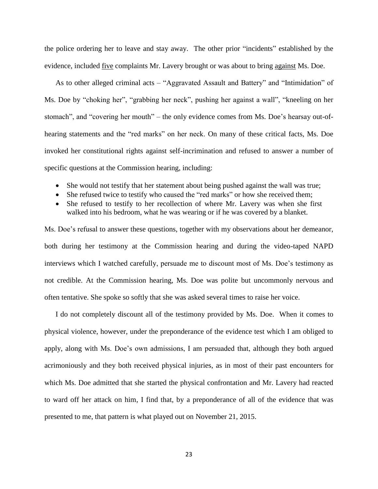the police ordering her to leave and stay away. The other prior "incidents" established by the evidence, included five complaints Mr. Lavery brought or was about to bring against Ms. Doe.

As to other alleged criminal acts – "Aggravated Assault and Battery" and "Intimidation" of Ms. Doe by "choking her", "grabbing her neck", pushing her against a wall", "kneeling on her stomach", and "covering her mouth" – the only evidence comes from Ms. Doe's hearsay out-ofhearing statements and the "red marks" on her neck. On many of these critical facts, Ms. Doe invoked her constitutional rights against self-incrimination and refused to answer a number of specific questions at the Commission hearing, including:

- She would not testify that her statement about being pushed against the wall was true;
- She refused twice to testify who caused the "red marks" or how she received them;
- She refused to testify to her recollection of where Mr. Lavery was when she first walked into his bedroom, what he was wearing or if he was covered by a blanket.

Ms. Doe's refusal to answer these questions, together with my observations about her demeanor, both during her testimony at the Commission hearing and during the video-taped NAPD interviews which I watched carefully, persuade me to discount most of Ms. Doe's testimony as not credible. At the Commission hearing, Ms. Doe was polite but uncommonly nervous and often tentative. She spoke so softly that she was asked several times to raise her voice.

I do not completely discount all of the testimony provided by Ms. Doe. When it comes to physical violence, however, under the preponderance of the evidence test which I am obliged to apply, along with Ms. Doe's own admissions, I am persuaded that, although they both argued acrimoniously and they both received physical injuries, as in most of their past encounters for which Ms. Doe admitted that she started the physical confrontation and Mr. Lavery had reacted to ward off her attack on him, I find that, by a preponderance of all of the evidence that was presented to me, that pattern is what played out on November 21, 2015.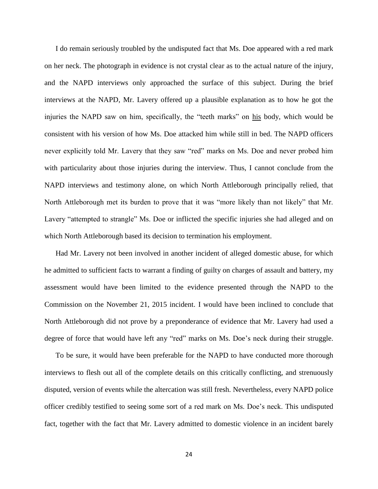I do remain seriously troubled by the undisputed fact that Ms. Doe appeared with a red mark on her neck. The photograph in evidence is not crystal clear as to the actual nature of the injury, and the NAPD interviews only approached the surface of this subject. During the brief interviews at the NAPD, Mr. Lavery offered up a plausible explanation as to how he got the injuries the NAPD saw on him, specifically, the "teeth marks" on his body, which would be consistent with his version of how Ms. Doe attacked him while still in bed. The NAPD officers never explicitly told Mr. Lavery that they saw "red" marks on Ms. Doe and never probed him with particularity about those injuries during the interview. Thus, I cannot conclude from the NAPD interviews and testimony alone, on which North Attleborough principally relied, that North Attleborough met its burden to prove that it was "more likely than not likely" that Mr. Lavery "attempted to strangle" Ms. Doe or inflicted the specific injuries she had alleged and on which North Attleborough based its decision to termination his employment.

Had Mr. Lavery not been involved in another incident of alleged domestic abuse, for which he admitted to sufficient facts to warrant a finding of guilty on charges of assault and battery, my assessment would have been limited to the evidence presented through the NAPD to the Commission on the November 21, 2015 incident. I would have been inclined to conclude that North Attleborough did not prove by a preponderance of evidence that Mr. Lavery had used a degree of force that would have left any "red" marks on Ms. Doe's neck during their struggle.

To be sure, it would have been preferable for the NAPD to have conducted more thorough interviews to flesh out all of the complete details on this critically conflicting, and strenuously disputed, version of events while the altercation was still fresh. Nevertheless, every NAPD police officer credibly testified to seeing some sort of a red mark on Ms. Doe's neck. This undisputed fact, together with the fact that Mr. Lavery admitted to domestic violence in an incident barely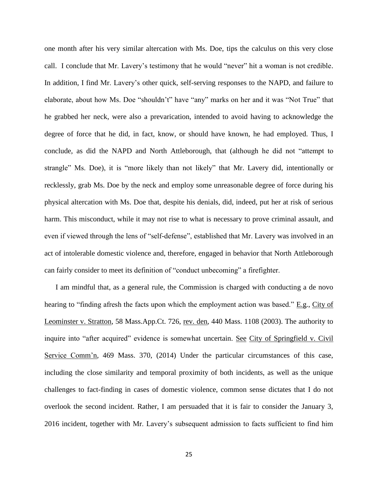one month after his very similar altercation with Ms. Doe, tips the calculus on this very close call. I conclude that Mr. Lavery's testimony that he would "never" hit a woman is not credible. In addition, I find Mr. Lavery's other quick, self-serving responses to the NAPD, and failure to elaborate, about how Ms. Doe "shouldn't" have "any" marks on her and it was "Not True" that he grabbed her neck, were also a prevarication, intended to avoid having to acknowledge the degree of force that he did, in fact, know, or should have known, he had employed. Thus, I conclude, as did the NAPD and North Attleborough, that (although he did not "attempt to strangle" Ms. Doe), it is "more likely than not likely" that Mr. Lavery did, intentionally or recklessly, grab Ms. Doe by the neck and employ some unreasonable degree of force during his physical altercation with Ms. Doe that, despite his denials, did, indeed, put her at risk of serious harm. This misconduct, while it may not rise to what is necessary to prove criminal assault, and even if viewed through the lens of "self-defense", established that Mr. Lavery was involved in an act of intolerable domestic violence and, therefore, engaged in behavior that North Attleborough can fairly consider to meet its definition of "conduct unbecoming" a firefighter.

I am mindful that, as a general rule, the Commission is charged with conducting a de novo hearing to "finding afresh the facts upon which the employment action was based." E.g., City of Leominster v. Stratton, 58 Mass.App.Ct. 726, rev. den, 440 Mass. 1108 (2003). The authority to inquire into "after acquired" evidence is somewhat uncertain. See City of Springfield v. Civil Service Comm'n, 469 Mass. 370, (2014) Under the particular circumstances of this case, including the close similarity and temporal proximity of both incidents, as well as the unique challenges to fact-finding in cases of domestic violence, common sense dictates that I do not overlook the second incident. Rather, I am persuaded that it is fair to consider the January 3, 2016 incident, together with Mr. Lavery's subsequent admission to facts sufficient to find him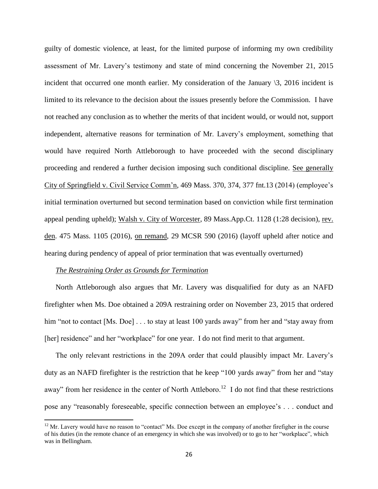guilty of domestic violence, at least, for the limited purpose of informing my own credibility assessment of Mr. Lavery's testimony and state of mind concerning the November 21, 2015 incident that occurred one month earlier. My consideration of the January  $\lambda$ , 2016 incident is limited to its relevance to the decision about the issues presently before the Commission. I have not reached any conclusion as to whether the merits of that incident would, or would not, support independent, alternative reasons for termination of Mr. Lavery's employment, something that would have required North Attleborough to have proceeded with the second disciplinary proceeding and rendered a further decision imposing such conditional discipline. See generally City of Springfield v. Civil Service Comm'n, 469 Mass. 370, 374, 377 fnt.13 (2014) (employee's initial termination overturned but second termination based on conviction while first termination appeal pending upheld); Walsh v. City of Worcester, 89 Mass.App.Ct. 1128 (1:28 decision), rev. den. 475 Mass. 1105 (2016), on remand, 29 MCSR 590 (2016) (layoff upheld after notice and hearing during pendency of appeal of prior termination that was eventually overturned)

#### *The Restraining Order as Grounds for Termination*

 $\overline{\phantom{a}}$ 

North Attleborough also argues that Mr. Lavery was disqualified for duty as an NAFD firefighter when Ms. Doe obtained a 209A restraining order on November 23, 2015 that ordered him "not to contact [Ms. Doe] . . . to stay at least 100 yards away" from her and "stay away from [her] residence" and her "workplace" for one year. I do not find merit to that argument.

The only relevant restrictions in the 209A order that could plausibly impact Mr. Lavery's duty as an NAFD firefighter is the restriction that he keep "100 yards away" from her and "stay away" from her residence in the center of North Attleboro.<sup>12</sup> I do not find that these restrictions pose any "reasonably foreseeable, specific connection between an employee's . . . conduct and

 $12$  Mr. Lavery would have no reason to "contact" Ms. Doe except in the company of another firefigher in the course of his duties (in the remote chance of an emergency in which she was involved) or to go to her "workplace", which was in Bellingham.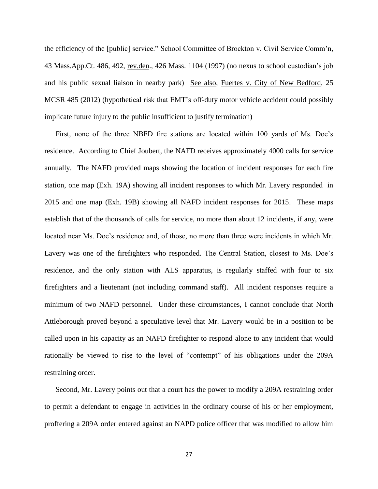the efficiency of the [public] service." School Committee of Brockton v. Civil Service Comm'n, 43 Mass.App.Ct. 486, 492, rev.den., 426 Mass. 1104 (1997) (no nexus to school custodian's job and his public sexual liaison in nearby park) See also, Fuertes v. City of New Bedford, 25 MCSR 485 (2012) (hypothetical risk that EMT's off-duty motor vehicle accident could possibly implicate future injury to the public insufficient to justify termination)

First, none of the three NBFD fire stations are located within 100 yards of Ms. Doe's residence. According to Chief Joubert, the NAFD receives approximately 4000 calls for service annually. The NAFD provided maps showing the location of incident responses for each fire station, one map (Exh. 19A) showing all incident responses to which Mr. Lavery responded in 2015 and one map (Exh. 19B) showing all NAFD incident responses for 2015. These maps establish that of the thousands of calls for service, no more than about 12 incidents, if any, were located near Ms. Doe's residence and, of those, no more than three were incidents in which Mr. Lavery was one of the firefighters who responded. The Central Station, closest to Ms. Doe's residence, and the only station with ALS apparatus, is regularly staffed with four to six firefighters and a lieutenant (not including command staff). All incident responses require a minimum of two NAFD personnel. Under these circumstances, I cannot conclude that North Attleborough proved beyond a speculative level that Mr. Lavery would be in a position to be called upon in his capacity as an NAFD firefighter to respond alone to any incident that would rationally be viewed to rise to the level of "contempt" of his obligations under the 209A restraining order.

Second, Mr. Lavery points out that a court has the power to modify a 209A restraining order to permit a defendant to engage in activities in the ordinary course of his or her employment, proffering a 209A order entered against an NAPD police officer that was modified to allow him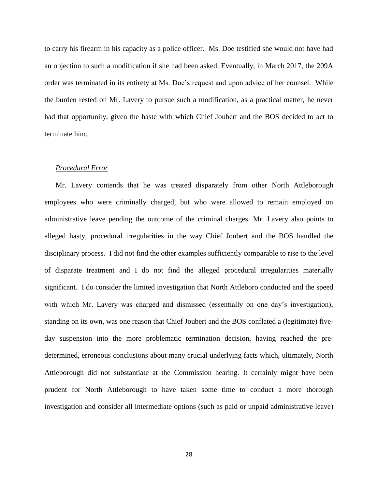to carry his firearm in his capacity as a police officer. Ms. Doe testified she would not have had an objection to such a modification if she had been asked. Eventually, in March 2017, the 209A order was terminated in its entirety at Ms. Doe's request and upon advice of her counsel. While the burden rested on Mr. Lavery to pursue such a modification, as a practical matter, he never had that opportunity, given the haste with which Chief Joubert and the BOS decided to act to terminate him.

## *Procedural Error*

Mr. Lavery contends that he was treated disparately from other North Attleborough employees who were criminally charged, but who were allowed to remain employed on administrative leave pending the outcome of the criminal charges. Mr. Lavery also points to alleged hasty, procedural irregularities in the way Chief Joubert and the BOS handled the disciplinary process. I did not find the other examples sufficiently comparable to rise to the level of disparate treatment and I do not find the alleged procedural irregularities materially significant. I do consider the limited investigation that North Attleboro conducted and the speed with which Mr. Lavery was charged and dismissed (essentially on one day's investigation), standing on its own, was one reason that Chief Joubert and the BOS conflated a (legitimate) fiveday suspension into the more problematic termination decision, having reached the predetermined, erroneous conclusions about many crucial underlying facts which, ultimately, North Attleborough did not substantiate at the Commission hearing. It certainly might have been prudent for North Attleborough to have taken some time to conduct a more thorough investigation and consider all intermediate options (such as paid or unpaid administrative leave)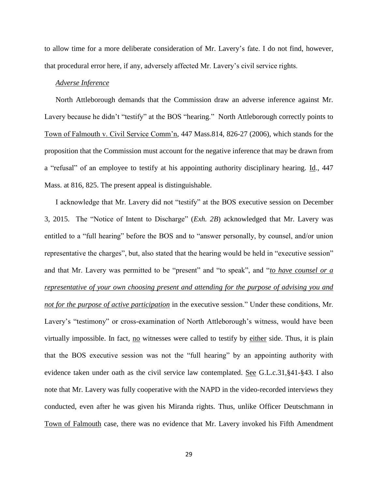to allow time for a more deliberate consideration of Mr. Lavery's fate. I do not find, however, that procedural error here, if any, adversely affected Mr. Lavery's civil service rights.

## *Adverse Inference*

North Attleborough demands that the Commission draw an adverse inference against Mr. Lavery because he didn't "testify" at the BOS "hearing." North Attleborough correctly points to Town of Falmouth v. Civil Service Comm'n, 447 Mass.814, 826-27 (2006), which stands for the proposition that the Commission must account for the negative inference that may be drawn from a "refusal" of an employee to testify at his appointing authority disciplinary hearing. Id., 447 Mass. at 816, 825. The present appeal is distinguishable.

I acknowledge that Mr. Lavery did not "testify" at the BOS executive session on December 3, 2015. The "Notice of Intent to Discharge" (*Exh. 2B*) acknowledged that Mr. Lavery was entitled to a "full hearing" before the BOS and to "answer personally, by counsel, and/or union representative the charges", but, also stated that the hearing would be held in "executive session" and that Mr. Lavery was permitted to be "present" and "to speak", and "*to have counsel or a representative of your own choosing present and attending for the purpose of advising you and not for the purpose of active participation* in the executive session." Under these conditions, Mr. Lavery's "testimony" or cross-examination of North Attleborough's witness, would have been virtually impossible. In fact, no witnesses were called to testify by either side. Thus, it is plain that the BOS executive session was not the "full hearing" by an appointing authority with evidence taken under oath as the civil service law contemplated. See G.L.c.31,§41-§43. I also note that Mr. Lavery was fully cooperative with the NAPD in the video-recorded interviews they conducted, even after he was given his Miranda rights. Thus, unlike Officer Deutschmann in Town of Falmouth case, there was no evidence that Mr. Lavery invoked his Fifth Amendment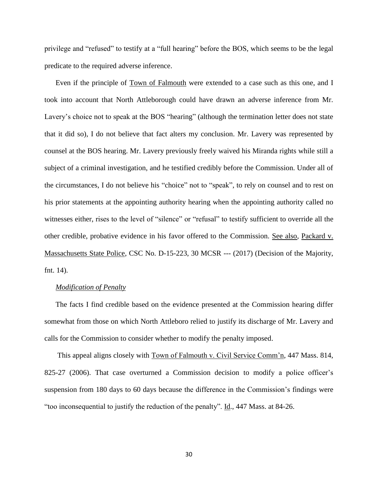privilege and "refused" to testify at a "full hearing" before the BOS, which seems to be the legal predicate to the required adverse inference.

Even if the principle of Town of Falmouth were extended to a case such as this one, and I took into account that North Attleborough could have drawn an adverse inference from Mr. Lavery's choice not to speak at the BOS "hearing" (although the termination letter does not state that it did so), I do not believe that fact alters my conclusion. Mr. Lavery was represented by counsel at the BOS hearing. Mr. Lavery previously freely waived his Miranda rights while still a subject of a criminal investigation, and he testified credibly before the Commission. Under all of the circumstances, I do not believe his "choice" not to "speak", to rely on counsel and to rest on his prior statements at the appointing authority hearing when the appointing authority called no witnesses either, rises to the level of "silence" or "refusal" to testify sufficient to override all the other credible, probative evidence in his favor offered to the Commission. See also, Packard v. Massachusetts State Police, CSC No. D-15-223, 30 MCSR --- (2017) (Decision of the Majority, fnt. 14).

#### *Modification of Penalty*

The facts I find credible based on the evidence presented at the Commission hearing differ somewhat from those on which North Attleboro relied to justify its discharge of Mr. Lavery and calls for the Commission to consider whether to modify the penalty imposed.

This appeal aligns closely with Town of Falmouth v. Civil Service Comm'n, 447 Mass. 814, 825-27 (2006). That case overturned a Commission decision to modify a police officer's suspension from 180 days to 60 days because the difference in the Commission's findings were "too inconsequential to justify the reduction of the penalty". Id., 447 Mass. at 84-26.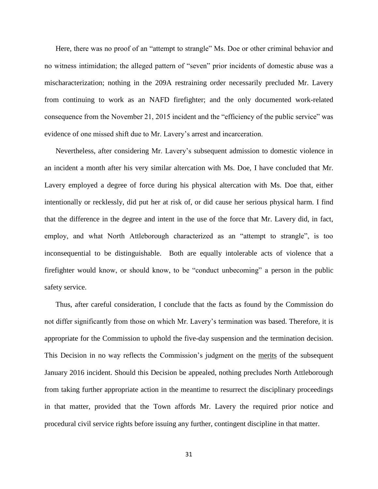Here, there was no proof of an "attempt to strangle" Ms. Doe or other criminal behavior and no witness intimidation; the alleged pattern of "seven" prior incidents of domestic abuse was a mischaracterization; nothing in the 209A restraining order necessarily precluded Mr. Lavery from continuing to work as an NAFD firefighter; and the only documented work-related consequence from the November 21, 2015 incident and the "efficiency of the public service" was evidence of one missed shift due to Mr. Lavery's arrest and incarceration.

Nevertheless, after considering Mr. Lavery's subsequent admission to domestic violence in an incident a month after his very similar altercation with Ms. Doe, I have concluded that Mr. Lavery employed a degree of force during his physical altercation with Ms. Doe that, either intentionally or recklessly, did put her at risk of, or did cause her serious physical harm. I find that the difference in the degree and intent in the use of the force that Mr. Lavery did, in fact, employ, and what North Attleborough characterized as an "attempt to strangle", is too inconsequential to be distinguishable. Both are equally intolerable acts of violence that a firefighter would know, or should know, to be "conduct unbecoming" a person in the public safety service.

Thus, after careful consideration, I conclude that the facts as found by the Commission do not differ significantly from those on which Mr. Lavery's termination was based. Therefore, it is appropriate for the Commission to uphold the five-day suspension and the termination decision. This Decision in no way reflects the Commission's judgment on the merits of the subsequent January 2016 incident. Should this Decision be appealed, nothing precludes North Attleborough from taking further appropriate action in the meantime to resurrect the disciplinary proceedings in that matter, provided that the Town affords Mr. Lavery the required prior notice and procedural civil service rights before issuing any further, contingent discipline in that matter.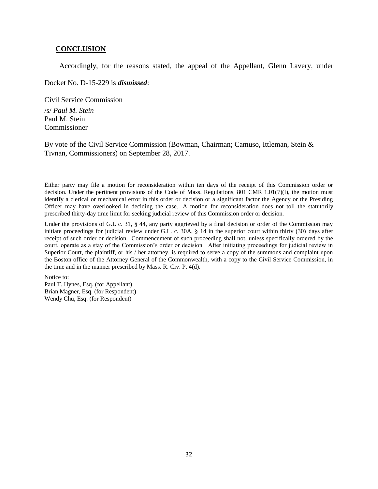#### **CONCLUSION**

Accordingly, for the reasons stated, the appeal of the Appellant, Glenn Lavery, under

Docket No. D-15-229 is *dismissed*:

Civil Service Commission

/s/ *Paul M. Stein* Paul M. Stein Commissioner

By vote of the Civil Service Commission (Bowman, Chairman; Camuso, Ittleman, Stein & Tivnan, Commissioners) on September 28, 2017.

Either party may file a motion for reconsideration within ten days of the receipt of this Commission order or decision. Under the pertinent provisions of the Code of Mass. Regulations, 801 CMR 1.01(7)(l), the motion must identify a clerical or mechanical error in this order or decision or a significant factor the Agency or the Presiding Officer may have overlooked in deciding the case. A motion for reconsideration does not toll the statutorily prescribed thirty-day time limit for seeking judicial review of this Commission order or decision.

Under the provisions of G.L c. 31, § 44, any party aggrieved by a final decision or order of the Commission may initiate proceedings for judicial review under G.L. c. 30A, § 14 in the superior court within thirty (30) days after receipt of such order or decision. Commencement of such proceeding shall not, unless specifically ordered by the court, operate as a stay of the Commission's order or decision. After initiating proceedings for judicial review in Superior Court, the plaintiff, or his / her attorney, is required to serve a copy of the summons and complaint upon the Boston office of the Attorney General of the Commonwealth, with a copy to the Civil Service Commission, in the time and in the manner prescribed by Mass. R. Civ. P. 4(d).

Notice to: Paul T. Hynes, Esq. (for Appellant) Brian Magner, Esq. (for Respondent) Wendy Chu, Esq. (for Respondent)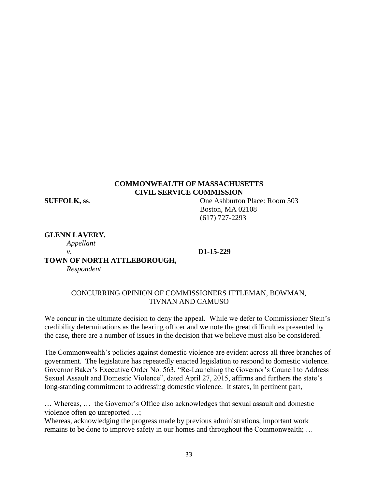# **COMMONWEALTH OF MASSACHUSETTS CIVIL SERVICE COMMISSION**

**SUFFOLK, ss**. One Ashburton Place: Room 503 Boston, MA 02108 (617) 727-2293

**GLENN LAVERY,**

*Appellant*

*v*. **D1-15-229**

**TOWN OF NORTH ATTLEBOROUGH,**

*Respondent*

# CONCURRING OPINION OF COMMISSIONERS ITTLEMAN, BOWMAN, TIVNAN AND CAMUSO

We concur in the ultimate decision to deny the appeal. While we defer to Commissioner Stein's credibility determinations as the hearing officer and we note the great difficulties presented by the case, there are a number of issues in the decision that we believe must also be considered.

The Commonwealth's policies against domestic violence are evident across all three branches of government. The legislature has repeatedly enacted legislation to respond to domestic violence. Governor Baker's Executive Order No. 563, "Re-Launching the Governor's Council to Address Sexual Assault and Domestic Violence", dated April 27, 2015, affirms and furthers the state's long-standing commitment to addressing domestic violence. It states, in pertinent part,

… Whereas, … the Governor's Office also acknowledges that sexual assault and domestic violence often go unreported …;

Whereas, acknowledging the progress made by previous administrations, important work remains to be done to improve safety in our homes and throughout the Commonwealth; …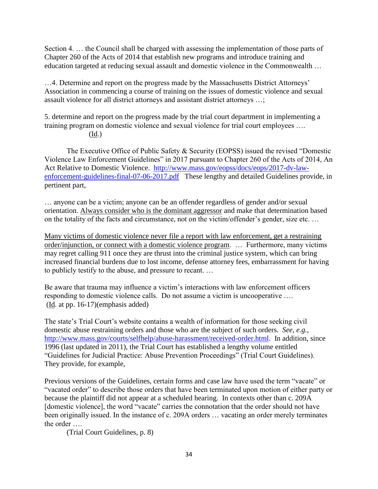Section 4. … the Council shall be charged with assessing the implementation of those parts of Chapter 260 of the Acts of 2014 that establish new programs and introduce training and education targeted at reducing sexual assault and domestic violence in the Commonwealth …

…4. Determine and report on the progress made by the Massachusetts District Attorneys' Association in commencing a course of training on the issues of domestic violence and sexual assault violence for all district attorneys and assistant district attorneys …;

5. determine and report on the progress made by the trial court department in implementing a training program on domestic violence and sexual violence for trial court employees …. (Id.)

The Executive Office of Public Safety & Security (EOPSS) issued the revised "Domestic Violence Law Enforcement Guidelines" in 2017 pursuant to Chapter 260 of the Acts of 2014, An Act Relative to Domestic Violence. [http://www.mass.gov/eopss/docs/eops/2017-dv-law](http://www.mass.gov/eopss/docs/eops/2017-dv-law-enforcement-guidelines-final-07-06-2017.pdf)[enforcement-guidelines-final-07-06-2017.pdf](http://www.mass.gov/eopss/docs/eops/2017-dv-law-enforcement-guidelines-final-07-06-2017.pdf) These lengthy and detailed Guidelines provide, in pertinent part,

… anyone can be a victim; anyone can be an offender regardless of gender and/or sexual orientation. Always consider who is the dominant aggressor and make that determination based on the totality of the facts and circumstance, not on the victim/offender's gender, size etc. …

Many victims of domestic violence never file a report with law enforcement, get a restraining order/injunction, or connect with a domestic violence program. … Furthermore, many victims may regret calling 911 once they are thrust into the criminal justice system, which can bring increased financial burdens due to lost income, defense attorney fees, embarrassment for having to publicly testify to the abuse, and pressure to recant. …

Be aware that trauma may influence a victim's interactions with law enforcement officers responding to domestic violence calls. Do not assume a victim is uncooperative …. (Id. at pp. 16-17)(emphasis added)

The state's Trial Court's website contains a wealth of information for those seeking civil domestic abuse restraining orders and those who are the subject of such orders. *See, e.g.,* [http://www.mass.gov/courts/selfhelp/abuse-harassment/received-order.html.](http://www.mass.gov/courts/selfhelp/abuse-harassment/received-order.html) In addition, since 1996 (last updated in 2011), the Trial Court has established a lengthy volume entitled "Guidelines for Judicial Practice: Abuse Prevention Proceedings" (Trial Court Guidelines). They provide, for example,

Previous versions of the Guidelines, certain forms and case law have used the term "vacate" or "vacated order" to describe those orders that have been terminated upon motion of either party or because the plaintiff did not appear at a scheduled hearing. In contexts other than c. 209A [domestic violence], the word "vacate" carries the connotation that the order should not have been originally issued. In the instance of c. 209A orders … vacating an order merely terminates the order ….

(Trial Court Guidelines, p. 8)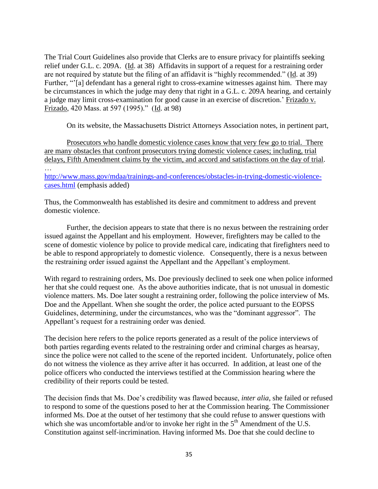The Trial Court Guidelines also provide that Clerks are to ensure privacy for plaintiffs seeking relief under G.L. c. 209A. (Id. at 38) Affidavits in support of a request for a restraining order are not required by statute but the filing of an affidavit is "highly recommended." (Id. at 39) Further, "<sup>'</sup>[a] defendant has a general right to cross-examine witnesses against him. There may be circumstances in which the judge may deny that right in a G.L. c. 209A hearing, and certainly a judge may limit cross-examination for good cause in an exercise of discretion.' Frizado v. Frizado, 420 Mass. at 597 (1995)." (Id. at 98)

On its website, the Massachusetts District Attorneys Association notes, in pertinent part,

Prosecutors who handle domestic violence cases know that very few go to trial. There are many obstacles that confront prosecutors trying domestic violence cases; including, trial delays, Fifth Amendment claims by the victim, and accord and satisfactions on the day of trial. …

[http://www.mass.gov/mdaa/trainings-and-conferences/obstacles-in-trying-domestic-violence](http://www.mass.gov/mdaa/trainings-and-conferences/obstacles-in-trying-domestic-violence-cases.html)[cases.html](http://www.mass.gov/mdaa/trainings-and-conferences/obstacles-in-trying-domestic-violence-cases.html) (emphasis added)

Thus, the Commonwealth has established its desire and commitment to address and prevent domestic violence.

Further, the decision appears to state that there is no nexus between the restraining order issued against the Appellant and his employment. However, firefighters may be called to the scene of domestic violence by police to provide medical care, indicating that firefighters need to be able to respond appropriately to domestic violence. Consequently, there is a nexus between the restraining order issued against the Appellant and the Appellant's employment.

With regard to restraining orders, Ms. Doe previously declined to seek one when police informed her that she could request one. As the above authorities indicate, that is not unusual in domestic violence matters. Ms. Doe later sought a restraining order, following the police interview of Ms. Doe and the Appellant. When she sought the order, the police acted pursuant to the EOPSS Guidelines, determining, under the circumstances, who was the "dominant aggressor". The Appellant's request for a restraining order was denied.

The decision here refers to the police reports generated as a result of the police interviews of both parties regarding events related to the restraining order and criminal charges as hearsay, since the police were not called to the scene of the reported incident. Unfortunately, police often do not witness the violence as they arrive after it has occurred. In addition, at least one of the police officers who conducted the interviews testified at the Commission hearing where the credibility of their reports could be tested.

The decision finds that Ms. Doe's credibility was flawed because, *inter alia*, she failed or refused to respond to some of the questions posed to her at the Commission hearing. The Commissioner informed Ms. Doe at the outset of her testimony that she could refuse to answer questions with which she was uncomfortable and/or to invoke her right in the  $5<sup>th</sup>$  Amendment of the U.S. Constitution against self-incrimination. Having informed Ms. Doe that she could decline to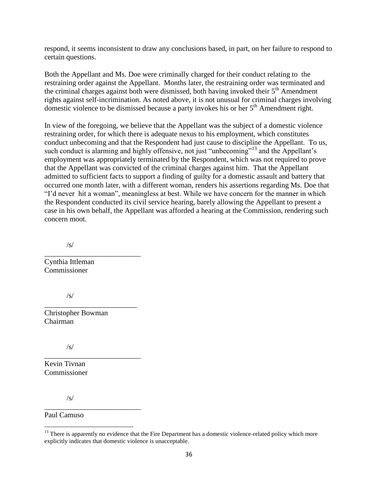respond, it seems inconsistent to draw any conclusions based, in part, on her failure to respond to certain questions.

Both the Appellant and Ms. Doe were criminally charged for their conduct relating to the restraining order against the Appellant. Months later, the restraining order was terminated and the criminal charges against both were dismissed, both having invoked their 5<sup>th</sup> Amendment rights against self-incrimination. As noted above, it is not unusual for criminal charges involving domestic violence to be dismissed because a party invokes his or her 5<sup>th</sup> Amendment right.

In view of the foregoing, we believe that the Appellant was the subject of a domestic violence restraining order, for which there is adequate nexus to his employment, which constitutes conduct unbecoming and that the Respondent had just cause to discipline the Appellant. To us, such conduct is alarming and highly offensive, not just "unbecoming"<sup>13</sup> and the Appellant's employment was appropriately terminated by the Respondent, which was not required to prove that the Appellant was convicted of the criminal charges against him. That the Appellant admitted to sufficient facts to support a finding of guilty for a domestic assault and battery that occurred one month later, with a different woman, renders his assertions regarding Ms. Doe that "I'd never hit a woman", meaningless at best. While we have concern for the manner in which the Respondent conducted its civil service hearing, barely allowing the Appellant to present a case in his own behalf, the Appellant was afforded a hearing at the Commission, rendering such concern moot.

/s/

\_\_\_\_\_\_\_\_\_\_\_\_\_\_\_\_\_\_\_\_\_\_\_\_\_\_ Cynthia Ittleman Commissioner

/s/

Christopher Bowman Chairman

\_\_\_\_\_\_\_\_\_\_\_\_\_\_\_\_\_\_\_\_\_\_\_\_\_

\_\_\_\_\_\_\_\_\_\_\_\_\_\_\_\_\_\_\_\_\_\_\_\_\_\_

\_\_\_\_\_\_\_\_\_\_\_\_\_\_\_\_\_\_\_\_\_\_\_\_\_\_

/s/

Kevin Tivnan Commissioner

/s/

Paul Camuso

 $\overline{\phantom{a}}$ <sup>13</sup> There is apparently no evidence that the Fire Department has a domestic violence-related policy which more explicitly indicates that domestic violence is unacceptable.